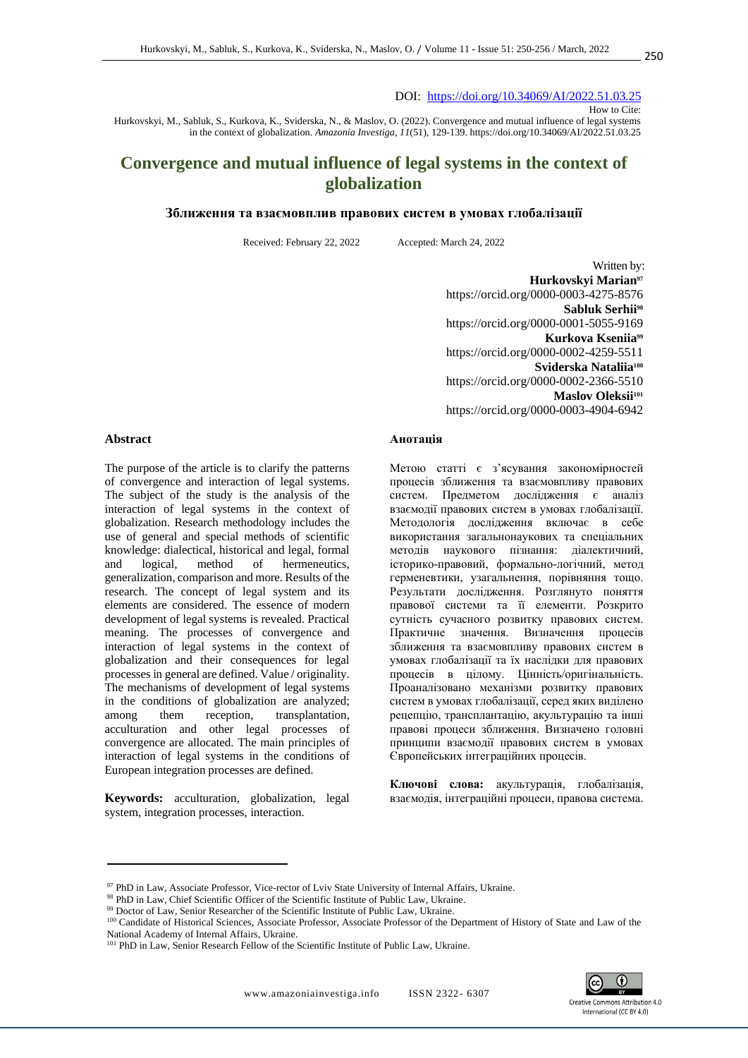#### DOI: <https://doi.org/10.34069/AI/2022.51.03.25>

How to Cite:

Hurkovskyi, M., Sabluk, S., Kurkova, K., Sviderska, N., & Maslov, O. (2022). Convergence and mutual influence of legal systems in the context of globalization. *Amazonia Investiga*, *11*(51), 129-139. https://doi.org/10.34069/AI/2022.51.03.25

# **Convergence and mutual influence of legal systems in the context of globalization**

#### **Зближення та взаємовплив правових систем в умовах глобалізації**

Received: February 22, 2022 Accepted: March 24, 2022

Written by: **Hurkovskyi Marian<sup>97</sup>** https://orcid.org/0000-0003-4275-8576 **Sabluk Serhii<sup>98</sup>** [https://orcid.org/0](https://orcid.org/)000-0001-5055-9169 **Kurkova Kseniia<sup>99</sup>** https://orcid.org/0000-0002-4259-5511 **Sviderska Nataliia<sup>100</sup>** https://orcid.org/0000-0002-2366-5510 **Maslov Oleksii<sup>101</sup>** https://orcid.org/0000-0003-4904-6942

#### **Анотація**

Метою статті є з'ясування закономірностей процесів зближення та взаємовпливу правових систем. Предметом дослідження є аналіз взаємодії правових систем в умовах глобалізації. Методологія дослідження включає в себе використання загальнонаукових та спеціальних методів наукового пізнання: діалектичний, історико-правовий, формально-логічний, метод герменевтики, узагальнення, порівняння тощо. Результати дослідження. Розглянуто поняття правової системи та її елементи. Розкрито сутність сучасного розвитку правових систем. Практичне значення. Визначення процесів зближення та взаємовпливу правових систем в умовах глобалізації та їх наслідки для правових процесів в цілому. Цінність/оригінальність. Проаналізовано механізми розвитку правових систем в умовах глобалізації, серед яких виділено рецепцію, трансплантацію, акультурацію та інші правові процеси зближення. Визначено головні принципи взаємодії правових систем в умовах Європейських інтеграційних процесів.

**Ключові слова:** акультурація, глобалізація, взаємодія, інтеграційні процеси, правова система.



#### **Abstract**

The purpose of the article is to clarify the patterns of convergence and interaction of legal systems. The subject of the study is the analysis of the interaction of legal systems in the context of globalization. Research methodology includes the use of general and special methods of scientific knowledge: dialectical, historical and legal, formal and logical, method of hermeneutics, generalization, comparison and more. Results of the research. The concept of legal system and its elements are considered. The essence of modern development of legal systems is revealed. Practical meaning. The processes of convergence and interaction of legal systems in the context of globalization and their consequences for legal processes in general are defined. Value / originality. The mechanisms of development of legal systems in the conditions of globalization are analyzed; among them reception, transplantation, acculturation and other legal processes of convergence are allocated. The main principles of interaction of legal systems in the conditions of European integration processes are defined.

**Keywords:** acculturation, globalization, legal system, integration processes, interaction.

<sup>97</sup> PhD in Law, Associate Professor, Vice-rector of Lviv State University of Internal Affairs, Ukraine.

<sup>98</sup> PhD in Law, Chief Scientific Officer of the Scientific Institute of Public Law, Ukraine.

<sup>&</sup>lt;sup>99</sup> Doctor of Law, Senior Researcher of the Scientific Institute of Public Law, Ukraine.

<sup>&</sup>lt;sup>100</sup> Candidate of Historical Sciences, Associate Professor, Associate Professor of the Department of History of State and Law of the National Academy of Internal Affairs, Ukraine.

<sup>&</sup>lt;sup>101</sup> PhD in Law, Senior Research Fellow of the Scientific Institute of Public Law, Ukraine.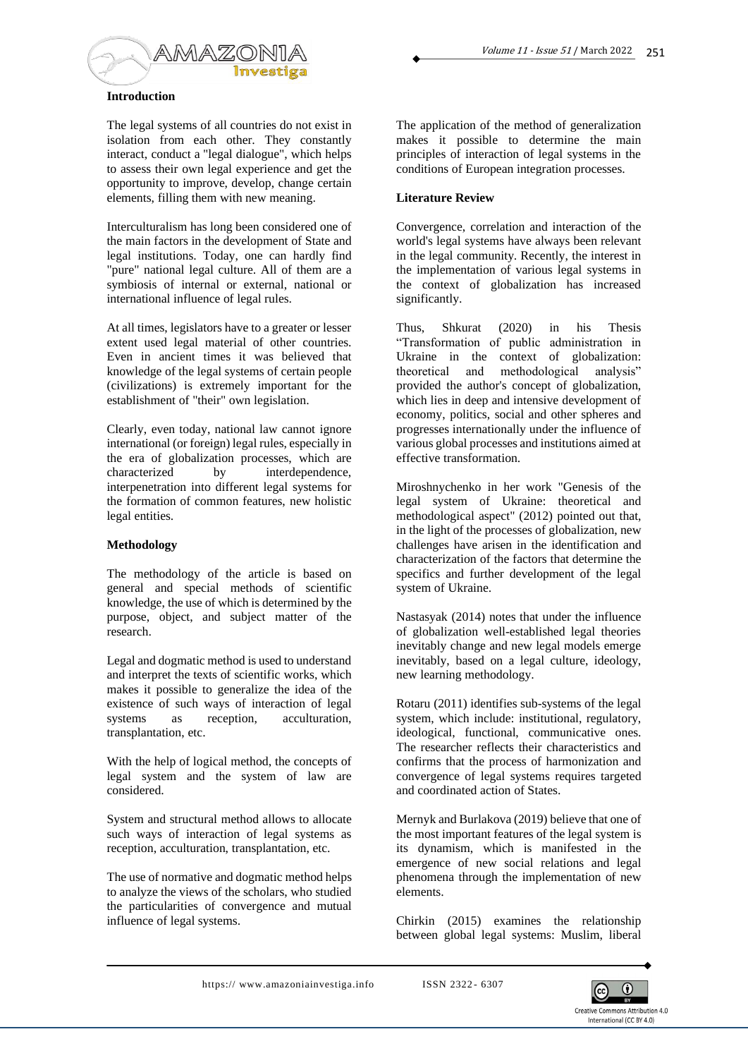

## **Introduction**

The legal systems of all countries do not exist in isolation from each other. They constantly interact, conduct a "legal dialogue", which helps to assess their own legal experience and get the opportunity to improve, develop, change certain elements, filling them with new meaning.

Interculturalism has long been considered one of the main factors in the development of State and legal institutions. Today, one can hardly find "pure" national legal culture. All of them are a symbiosis of internal or external, national or international influence of legal rules.

At all times, legislators have to a greater or lesser extent used legal material of other countries. Even in ancient times it was believed that knowledge of the legal systems of certain people (civilizations) is extremely important for the establishment of "their" own legislation.

Clearly, even today, national law cannot ignore international (or foreign) legal rules, especially in the era of globalization processes, which are characterized by interdependence, interpenetration into different legal systems for the formation of common features, new holistic legal entities.

## **Methodology**

The methodology of the article is based on general and special methods of scientific knowledge, the use of which is determined by the purpose, object, and subject matter of the research.

Legal and dogmatic method is used to understand and interpret the texts of scientific works, which makes it possible to generalize the idea of the existence of such ways of interaction of legal systems as reception, acculturation, transplantation, etc.

With the help of logical method, the concepts of legal system and the system of law are considered.

System and structural method allows to allocate such ways of interaction of legal systems as reception, acculturation, transplantation, etc.

The use of normative and dogmatic method helps to analyze the views of the scholars, who studied the particularities of convergence and mutual influence of legal systems.

The application of the method of generalization makes it possible to determine the main principles of interaction of legal systems in the conditions of European integration processes.

## **Literature Review**

Convergence, correlation and interaction of the world's legal systems have always been relevant in the legal community. Recently, the interest in the implementation of various legal systems in the context of globalization has increased significantly.

Thus, Shkurat (2020) in his Thesis "Transformation of public administration in Ukraine in the context of globalization: theoretical and methodological analysis" provided the author's concept of globalization, which lies in deep and intensive development of economy, politics, social and other spheres and progresses internationally under the influence of various global processes and institutions aimed at effective transformation.

Miroshnychenko in her work "Genesis of the legal system of Ukraine: theoretical and methodological aspect" (2012) pointed out that, in the light of the processes of globalization, new challenges have arisen in the identification and characterization of the factors that determine the specifics and further development of the legal system of Ukraine.

Nastasyak (2014) notes that under the influence of globalization well-established legal theories inevitably change and new legal models emerge inevitably, based on a legal culture, ideology, new learning methodology.

Rotaru (2011) identifies sub-systems of the legal system, which include: institutional, regulatory, ideological, functional, communicative ones. The researcher reflects their characteristics and confirms that the process of harmonization and convergence of legal systems requires targeted and coordinated action of States.

Mernyk and Burlakova (2019) believe that one of the most important features of the legal system is its dynamism, which is manifested in the emergence of new social relations and legal phenomena through the implementation of new elements.

Chirkin (2015) examines the relationship between global legal systems: Muslim, liberal

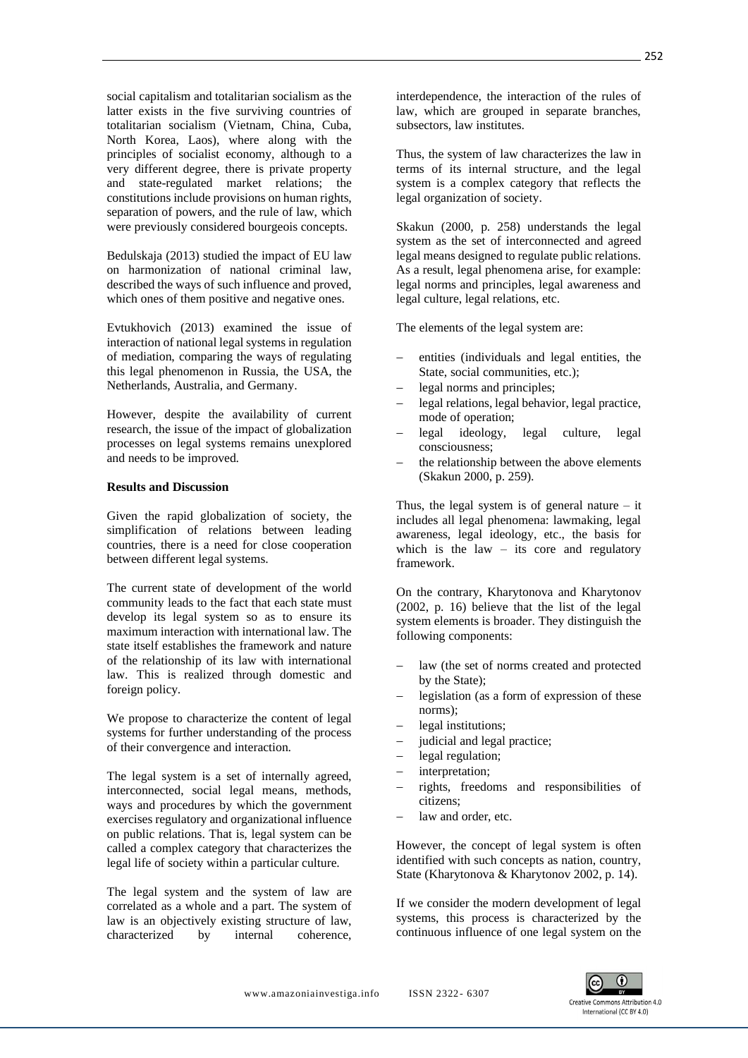social capitalism and totalitarian socialism as the latter exists in the five surviving countries of totalitarian socialism (Vietnam, China, Cuba, North Korea, Laos), where along with the principles of socialist economy, although to a very different degree, there is private property and state-regulated market relations; the constitutions include provisions on human rights, separation of powers, and the rule of law, which were previously considered bourgeois concepts.

Bedulskaja (2013) studied the impact of EU law on harmonization of national criminal law, described the ways of such influence and proved, which ones of them positive and negative ones.

Evtukhovich (2013) examined the issue of interaction of national legal systems in regulation of mediation, comparing the ways of regulating this legal phenomenon in Russia, the USA, the Netherlands, Australia, and Germany.

However, despite the availability of current research, the issue of the impact of globalization processes on legal systems remains unexplored and needs to be improved.

### **Results and Discussion**

Given the rapid globalization of society, the simplification of relations between leading countries, there is a need for close cooperation between different legal systems.

The current state of development of the world community leads to the fact that each state must develop its legal system so as to ensure its maximum interaction with international law. The state itself establishes the framework and nature of the relationship of its law with international law. This is realized through domestic and foreign policy.

We propose to characterize the content of legal systems for further understanding of the process of their convergence and interaction.

The legal system is a set of internally agreed, interconnected, social legal means, methods, ways and procedures by which the government exercises regulatory and organizational influence on public relations. That is, legal system can be called a complex category that characterizes the legal life of society within a particular culture.

The legal system and the system of law are correlated as a whole and a part. The system of law is an objectively existing structure of law, characterized by internal coherence,

interdependence, the interaction of the rules of law, which are grouped in separate branches, subsectors, law institutes.

Thus, the system of law characterizes the law in terms of its internal structure, and the legal system is a complex category that reflects the legal organization of society.

Skakun (2000, p. 258) understands the legal system as the set of interconnected and agreed legal means designed to regulate public relations. As a result, legal phenomena arise, for example: legal norms and principles, legal awareness and legal culture, legal relations, etc.

The elements of the legal system are:

- entities (individuals and legal entities, the State, social communities, etc.);
- legal norms and principles;
- − legal relations, legal behavior, legal practice, mode of operation;
- − legal ideology, legal culture, legal consciousness;
- the relationship between the above elements (Skakun 2000, p. 259).

Thus, the legal system is of general nature  $-$  it includes all legal phenomena: lawmaking, legal awareness, legal ideology, etc., the basis for which is the law – its core and regulatory framework.

On the contrary, Kharytonova and Kharytonov (2002, p. 16) believe that the list of the legal system elements is broader. They distinguish the following components:

- law (the set of norms created and protected by the State);
- − legislation (as a form of expression of these norms);
- legal institutions;
- judicial and legal practice;
- legal regulation;
- − interpretation;
- − rights, freedoms and responsibilities of citizens;
- law and order, etc.

However, the concept of legal system is often identified with such concepts as nation, country, State (Kharytonova & Kharytonov 2002, p. 14).

If we consider the modern development of legal systems, this process is characterized by the continuous influence of one legal system on the

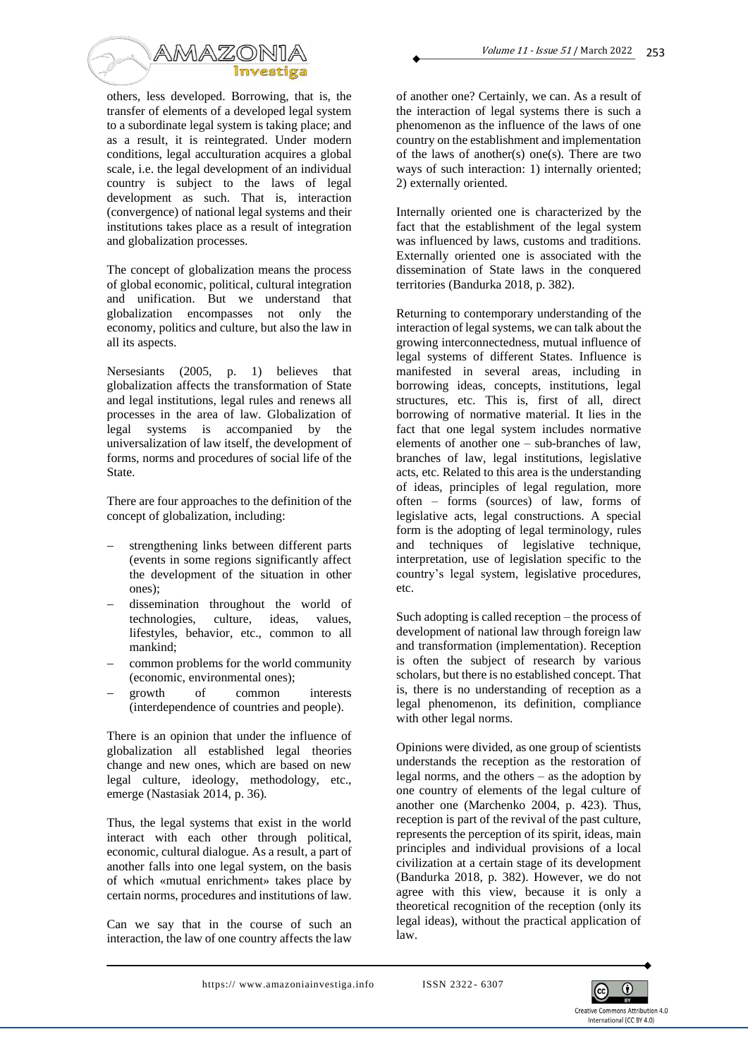

others, less developed. Borrowing, that is, the transfer of elements of a developed legal system to a subordinate legal system is taking place; and as a result, it is reintegrated. Under modern conditions, legal acculturation acquires a global scale, i.e. the legal development of an individual country is subject to the laws of legal development as such. That is, interaction (convergence) of national legal systems and their institutions takes place as a result of integration and globalization processes.

The concept of globalization means the process of global economic, political, cultural integration and unification. But we understand that globalization encompasses not only the economy, politics and culture, but also the law in all its aspects.

Nersesiants (2005, p. 1) believes that globalization affects the transformation of State and legal institutions, legal rules and renews all processes in the area of law. Globalization of legal systems is accompanied by the universalization of law itself, the development of forms, norms and procedures of social life of the State.

There are four approaches to the definition of the concept of globalization, including:

- strengthening links between different parts (events in some regions significantly affect the development of the situation in other ones);
- − dissemination throughout the world of technologies, culture, ideas, values, lifestyles, behavior, etc., common to all mankind;
- common problems for the world community (economic, environmental ones);
- growth of common interests (interdependence of countries and people).

There is an opinion that under the influence of globalization all established legal theories change and new ones, which are based on new legal culture, ideology, methodology, etc., emerge (Nastasiak 2014, p. 36).

Thus, the legal systems that exist in the world interact with each other through political, economic, cultural dialogue. As a result, a part of another falls into one legal system, on the basis of which «mutual enrichment» takes place by certain norms, procedures and institutions of law.

Can we say that in the course of such an interaction, the law of one country affects the law

of another one? Certainly, we can. As a result of the interaction of legal systems there is such a phenomenon as the influence of the laws of one country on the establishment and implementation of the laws of another(s) one(s). There are two ways of such interaction: 1) internally oriented; 2) externally oriented.

Internally oriented one is characterized by the fact that the establishment of the legal system was influenced by laws, customs and traditions. Externally oriented one is associated with the dissemination of State laws in the conquered territories (Bandurka 2018, p. 382).

Returning to contemporary understanding of the interaction of legal systems, we can talk about the growing interconnectedness, mutual influence of legal systems of different States. Influence is manifested in several areas, including in borrowing ideas, concepts, institutions, legal structures, etc. This is, first of all, direct borrowing of normative material. It lies in the fact that one legal system includes normative elements of another one – sub-branches of law, branches of law, legal institutions, legislative acts, etc. Related to this area is the understanding of ideas, principles of legal regulation, more often – forms (sources) of law, forms of legislative acts, legal constructions. A special form is the adopting of legal terminology, rules and techniques of legislative technique, interpretation, use of legislation specific to the country's legal system, legislative procedures, etc.

Such adopting is called reception – the process of development of national law through foreign law and transformation (implementation). Reception is often the subject of research by various scholars, but there is no established concept. That is, there is no understanding of reception as a legal phenomenon, its definition, compliance with other legal norms.

Opinions were divided, as one group of scientists understands the reception as the restoration of legal norms, and the others – as the adoption by one country of elements of the legal culture of another one (Marchenko 2004, p. 423). Thus, reception is part of the revival of the past culture, represents the perception of its spirit, ideas, main principles and individual provisions of a local civilization at a certain stage of its development (Bandurka 2018, p. 382). However, we do not agree with this view, because it is only a theoretical recognition of the reception (only its legal ideas), without the practical application of law.

https://www.amazoniainvestiga.info ISSN 2322-6307

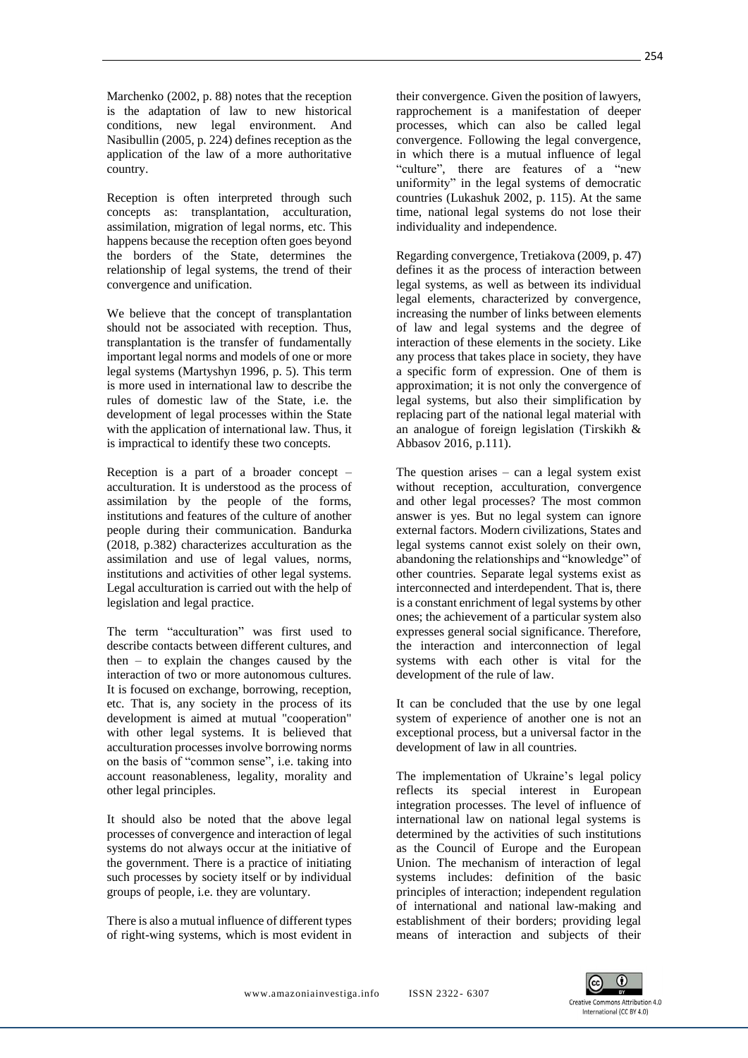Marchenko (2002, p. 88) notes that the reception is the adaptation of law to new historical conditions, new legal environment. And Nasibullin (2005, p. 224) defines reception as the application of the law of a more authoritative country.

Reception is often interpreted through such concepts as: transplantation, acculturation, assimilation, migration of legal norms, etc. This happens because the reception often goes beyond the borders of the State, determines the relationship of legal systems, the trend of their convergence and unification.

We believe that the concept of transplantation should not be associated with reception. Thus, transplantation is the transfer of fundamentally important legal norms and models of one or more legal systems (Martyshyn 1996, p. 5). This term is more used in international law to describe the rules of domestic law of the State, i.e. the development of legal processes within the State with the application of international law. Thus, it is impractical to identify these two concepts.

Reception is a part of a broader concept – acculturation. It is understood as the process of assimilation by the people of the forms, institutions and features of the culture of another people during their communication. Bandurka (2018, p.382) characterizes acculturation as the assimilation and use of legal values, norms, institutions and activities of other legal systems. Legal acculturation is carried out with the help of legislation and legal practice.

The term "acculturation" was first used to describe contacts between different cultures, and then – to explain the changes caused by the interaction of two or more autonomous cultures. It is focused on exchange, borrowing, reception, etc. That is, any society in the process of its development is aimed at mutual "cooperation" with other legal systems. It is believed that acculturation processes involve borrowing norms on the basis of "common sense", i.e. taking into account reasonableness, legality, morality and other legal principles.

It should also be noted that the above legal processes of convergence and interaction of legal systems do not always occur at the initiative of the government. There is a practice of initiating such processes by society itself or by individual groups of people, i.e. they are voluntary.

There is also a mutual influence of different types of right-wing systems, which is most evident in

their convergence. Given the position of lawyers, rapprochement is a manifestation of deeper processes, which can also be called legal convergence. Following the legal convergence, in which there is a mutual influence of legal "culture", there are features of a "new uniformity" in the legal systems of democratic countries (Lukashuk 2002, p. 115). At the same time, national legal systems do not lose their individuality and independence.

Regarding convergence, Tretiakova (2009, p. 47) defines it as the process of interaction between legal systems, as well as between its individual legal elements, characterized by convergence, increasing the number of links between elements of law and legal systems and the degree of interaction of these elements in the society. Like any process that takes place in society, they have a specific form of expression. One of them is approximation; it is not only the convergence of legal systems, but also their simplification by replacing part of the national legal material with an analogue of foreign legislation (Tirskikh & Abbasov 2016, p.111).

The question arises – can a legal system exist without reception, acculturation, convergence and other legal processes? The most common answer is yes. But no legal system can ignore external factors. Modern civilizations, States and legal systems cannot exist solely on their own, abandoning the relationships and "knowledge" of other countries. Separate legal systems exist as interconnected and interdependent. That is, there is a constant enrichment of legal systems by other ones; the achievement of a particular system also expresses general social significance. Therefore, the interaction and interconnection of legal systems with each other is vital for the development of the rule of law.

It can be concluded that the use by one legal system of experience of another one is not an exceptional process, but a universal factor in the development of law in all countries.

The implementation of Ukraine's legal policy reflects its special interest in European integration processes. The level of influence of international law on national legal systems is determined by the activities of such institutions as the Council of Europe and the European Union. The mechanism of interaction of legal systems includes: definition of the basic principles of interaction; independent regulation of international and national law-making and establishment of their borders; providing legal means of interaction and subjects of their

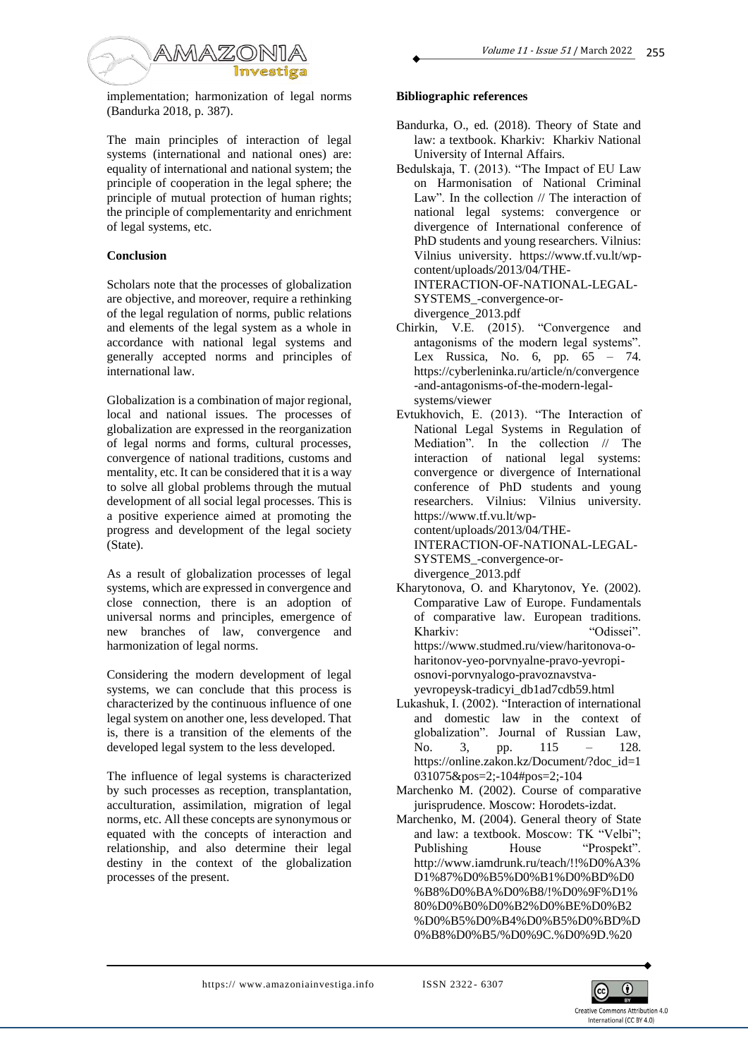

implementation; harmonization of legal norms (Bandurka 2018, p. 387).

The main principles of interaction of legal systems (international and national ones) are: equality of international and national system; the principle of cooperation in the legal sphere; the principle of mutual protection of human rights; the principle of complementarity and enrichment of legal systems, etc.

## **Conclusion**

Scholars note that the processes of globalization are objective, and moreover, require a rethinking of the legal regulation of norms, public relations and elements of the legal system as a whole in accordance with national legal systems and generally accepted norms and principles of international law.

Globalization is a combination of major regional, local and national issues. The processes of globalization are expressed in the reorganization of legal norms and forms, cultural processes, convergence of national traditions, customs and mentality, etc. It can be considered that it is a way to solve all global problems through the mutual development of all social legal processes. This is a positive experience aimed at promoting the progress and development of the legal society (State).

As a result of globalization processes of legal systems, which are expressed in convergence and close connection, there is an adoption of universal norms and principles, emergence of new branches of law, convergence and harmonization of legal norms.

Considering the modern development of legal systems, we can conclude that this process is characterized by the continuous influence of one legal system on another one, less developed. That is, there is a transition of the elements of the developed legal system to the less developed.

The influence of legal systems is characterized by such processes as reception, transplantation, acculturation, assimilation, migration of legal norms, etc. All these concepts are synonymous or equated with the concepts of interaction and relationship, and also determine their legal destiny in the context of the globalization processes of the present.

## **Bibliographic references**

- Bandurka, O., ed. (2018). Theory of State and law: a textbook. Kharkiv: Kharkiv National University of Internal Affairs.
- Bedulskaja, T. (2013). "The Impact of EU Law on Harmonisation of National Criminal Law". In the collection // The interaction of national legal systems: convergence or divergence of International conference of PhD students and young researchers. Vilnius: Vilnius university. https://www.tf.vu.lt/wpcontent/uploads/2013/04/THE-INTERACTION-OF-NATIONAL-LEGAL-SYSTEMS\_-convergence-or-

divergence\_2013.pdf

- Chirkin, V.E. (2015). "Convergence and antagonisms of the modern legal systems". Lex Russica, No. 6, pp. 65 – 74. https://cyberleninka.ru/article/n/convergence -and-antagonisms-of-the-modern-legalsystems/viewer
- Evtukhovich, E. (2013). "The Interaction of National Legal Systems in Regulation of Mediation". In the collection // The interaction of national legal systems: convergence or divergence of International conference of PhD students and young researchers. Vilnius: Vilnius university. https://www.tf.vu.lt/wpcontent/uploads/2013/04/THE-INTERACTION-OF-NATIONAL-LEGAL-SYSTEMS\_-convergence-ordivergence\_2013.pdf
- Kharytonova, O. and Kharytonov, Ye. (2002). Comparative Law of Europe. Fundamentals of comparative law. European traditions. Kharkiv: "Odissei". https://www.studmed.ru/view/haritonova-oharitonov-yeo-porvnyalne-pravo-yevropiosnovi-porvnyalogo-pravoznavstvayevropeysk-tradicyi\_db1ad7cdb59.html
- Lukashuk, I. (2002). "Interaction of international and domestic law in the context of globalization". Journal of Russian Law, No. 3, pp. 115 – 128. https://online.zakon.kz/Document/?doc\_id=1 031075&pos=2;-104#pos=2;-104
- Marchenko M. (2002). Course of comparative jurisprudence. Moscow: Horodets-izdat.
- Marchenko, M. (2004). General theory of State and law: a textbook. Moscow: TK "Velbi"; Publishing House "Prospekt". http://www.iamdrunk.ru/teach/!!%D0%A3% D1%87%D0%B5%D0%B1%D0%BD%D0 %B8%D0%BA%D0%B8/!%D0%9F%D1% 80%D0%B0%D0%B2%D0%BE%D0%B2 %D0%B5%D0%B4%D0%B5%D0%BD%D 0%B8%D0%B5/%D0%9C.%D0%9D.%20